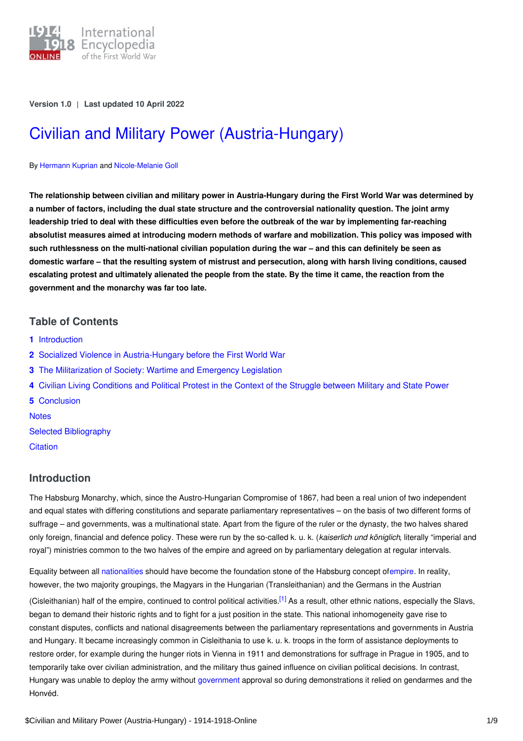

**Version 1.0** | **Last updated 10 April 2022**

# Civilian and Military Power [\(Austria-Hungary\)](https://encyclopedia.1914-1918-online.net/article/civilian_and_military_power_austria-hungary)

#### By [Hermann](https://encyclopedia.1914-1918-online.net/contributors/Hermann_Kuprian) Kuprian and [Nicole-Melanie](https://encyclopedia.1914-1918-online.net/contributors/Nicole-Melanie_Goll) Goll

The relationship between civilian and military power in Austria-Hungary during the First World War was determined by a number of factors, including the dual state structure and the controversial nationality question. The joint army leadership tried to deal with these difficulties even before the outbreak of the war by implementing far-reaching absolutist measures aimed at introducing modern methods of warfare and mobilization. This policy was imposed with such ruthlessness on the multi-national civilian population during the war - and this can definitely be seen as domestic warfare – that the resulting system of mistrust and persecution, along with harsh living conditions, caused escalating protest and ultimately alienated the people from the state. By the time it came, the reaction from the **government and the monarchy was far too late.**

## **Table of Contents**

- **1** [Introduction](#page-0-0)
- **2** Socialized Violence in [Austria-Hungary](#page-1-0) before the First World War
- **3** The [Militarization](#page-2-0) of Society: Wartime and Emergency Legislation
- **4** Civilian Living [Conditions](#page-3-0) and Political Protest in the Context of the Struggle between Military and State Power
- **5** [Conclusion](#page-5-0) **[Notes](#page-5-1)** Selected [Bibliography](#page-6-0) **[Citation](#page-8-0)**

## <span id="page-0-0"></span>**Introduction**

The Habsburg Monarchy, which, since the Austro-Hungarian Compromise of 1867, had been a real union of two independent and equal states with differing constitutions and separate parliamentary representatives – on the basis of two different forms of suffrage – and governments, was a multinational state. Apart from the figure of the ruler or the dynasty, the two halves shared only foreign, financial and defence policy. These were run by the so-called k. u. k. (*kaiserlich und königlich*, literally "imperial and royal") ministries common to the two halves of the empire and agreed on by parliamentary delegation at regular intervals.

<span id="page-0-1"></span>Equality between all [nationalities](http://ui:CeDiS1418@encyclopedia.1914-1918-online.net/article/nationalities_austria-hungary) should have become the foundation stone of the Habsburg concept o[fempire](http://ui:CeDiS1418@encyclopedia.1914-1918-online.net/article/empire). In reality, however, the two majority groupings, the Magyars in the Hungarian (Transleithanian) and the Germans in the Austrian (Cisleithanian) half of the empire, continued to control political activities.<sup>[\[1\]](#page-5-2)</sup> As a result, other ethnic nations, especially the Slavs, began to demand their historic rights and to fight for a just position in the state. This national inhomogeneity gave rise to constant disputes, conflicts and national disagreements between the parliamentary representations and governments in Austria and Hungary. It became increasingly common in Cisleithania to use k. u. k. troops in the form of assistance deployments to restore order, for example during the hunger riots in Vienna in 1911 and demonstrations for suffrage in Prague in 1905, and to temporarily take over civilian administration, and the military thus gained influence on civilian political decisions. In contrast, Hungary was unable to deploy the army without [government](http://ui:CeDiS1418@encyclopedia.1914-1918-online.net/article/governments-parliaments_and_parties_hungary) approval so during demonstrations it relied on gendarmes and the Honvéd.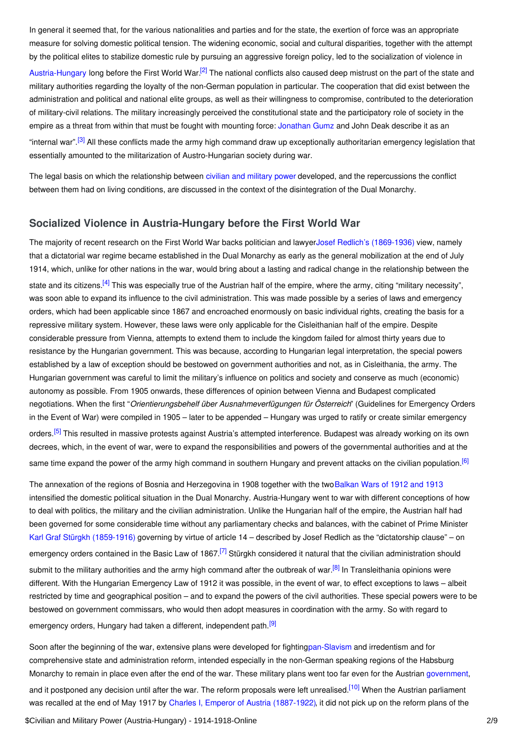In general it seemed that, for the various nationalities and parties and for the state, the exertion of force was an appropriate measure for solving domestic political tension. The widening economic, social and cultural disparities, together with the attempt by the political elites to stabilize domestic rule by pursuing an aggressive foreign policy, led to the socialization of violence in

<span id="page-1-1"></span>[Austria-Hungary](http://ui:CeDiS1418@encyclopedia.1914-1918-online.net/article/austria-hungary) long before the First World War.<sup>[\[2\]](#page-5-3)</sup> The national conflicts also caused deep mistrust on the part of the state and military authorities regarding the loyalty of the non-German population in particular. The cooperation that did exist between the administration and political and national elite groups, as well as their willingness to compromise, contributed to the deterioration of military-civil relations. The military increasingly perceived the constitutional state and the participatory role of society in the empire as a threat from within that must be fought with mounting force: [Jonathan](http://ui:CeDiS1418@encyclopedia.1914-1918-online.net/contributors/Jonathan_E._Gumz) Gumz and John Deak describe it as an

<span id="page-1-2"></span>"internal war".<sup>[\[3\]](#page-5-4)</sup> All these conflicts made the army high command draw up exceptionally authoritarian emergency legislation that essentially amounted to the militarization of Austro-Hungarian society during war.

The legal basis on which the relationship between civilian and [military](http://ui:CeDiS1418@encyclopedia.1914-1918-online.net/article/civilian_and_military_power) power developed, and the repercussions the conflict between them had on living conditions, are discussed in the context of the disintegration of the Dual Monarchy.

### <span id="page-1-0"></span>**Socialized Violence in Austria-Hungary before the First World War**

<span id="page-1-3"></span>The majority of recent research on the First World War backs politician and lawyerJosef Redlich's [\(1869-1936\)](http://ui:CeDiS1418@encyclopedia.1914-1918-online.net/index/names/118743724) view, namely that a dictatorial war regime became established in the Dual Monarchy as early as the general mobilization at the end of July 1914, which, unlike for other nations in the war, would bring about a lasting and radical change in the relationship between the state and its citizens.<sup>[\[4\]](#page-5-5)</sup> This was especially true of the Austrian half of the empire, where the army, citing "military necessity", was soon able to expand its influence to the civil administration. This was made possible by a series of laws and emergency orders, which had been applicable since 1867 and encroached enormously on basic individual rights, creating the basis for a repressive military system. However, these laws were only applicable for the Cisleithanian half of the empire. Despite considerable pressure from Vienna, attempts to extend them to include the kingdom failed for almost thirty years due to resistance by the Hungarian government. This was because, according to Hungarian legal interpretation, the special powers established by a law of exception should be bestowed on government authorities and not, as in Cisleithania, the army. The Hungarian government was careful to limit the military's influence on politics and society and conserve as much (economic) autonomy as possible. From 1905 onwards, these differences of opinion between Vienna and Budapest complicated negotiations. When the first "*Orientierungsbehelf über Ausnahmeverfügungen für Österreich*" (Guidelines for Emergency Orders in the Event of War) were compiled in 1905 – later to be appended – Hungary was urged to ratify or create similar emergency

<span id="page-1-4"></span>orders.<sup>[\[5\]](#page-5-6)</sup> This resulted in massive protests against Austria's attempted interference. Budapest was already working on its own decrees, which, in the event of war, were to expand the responsibilities and powers of the governmental authorities and at the same time expand the power of the army high command in southern Hungary and prevent attacks on the civilian population.<sup>[\[6\]](#page-5-7)</sup>

<span id="page-1-6"></span><span id="page-1-5"></span>The annexation of the regions of Bosnia and Herzegovina in 1908 together with the two Balkan Wars of 1912 and 1913 intensified the domestic political situation in the Dual Monarchy. Austria-Hungary went to war with different conceptions of how to deal with politics, the military and the civilian administration. Unlike the Hungarian half of the empire, the Austrian half had been governed for some considerable time without any parliamentary checks and balances, with the cabinet of Prime Minister Karl Graf Stürgkh [\(1859-1916\)](http://ui:CeDiS1418@encyclopedia.1914-1918-online.net/index/names/117677957) governing by virtue of article 14 – described by Josef Redlich as the "dictatorship clause" – on emergency orders contained in the Basic Law of 1867.<sup>[\[7\]](#page-5-8)</sup> Stürgkh considered it natural that the civilian administration should submit to the military authorities and the army high command after the outbreak of war.<sup>[\[8\]](#page-5-9)</sup> In Transleithania opinions were different. With the Hungarian Emergency Law of 1912 it was possible, in the event of war, to effect exceptions to laws – albeit restricted by time and geographical position – and to expand the powers of the civil authorities. These special powers were to be bestowed on government commissars, who would then adopt measures in coordination with the army. So with regard to emergency orders, Hungary had taken a different, independent path.<sup>[\[9\]](#page-6-1)</sup>

<span id="page-1-8"></span><span id="page-1-7"></span>Soon after the beginning of the war, extensive plans were developed for fightin[gpan-Slavism](http://ui:CeDiS1418@encyclopedia.1914-1918-online.net/article/panslavism) and irredentism and for comprehensive state and administration reform, intended especially in the non-German speaking regions of the Habsburg Monarchy to remain in place even after the end of the war. These military plans went too far even for the Austrian [government](http://ui:CeDiS1418@encyclopedia.1914-1918-online.net/article/governments_parliaments_and_parties_austria),

<span id="page-1-9"></span>and it postponed any decision until after the war. The reform proposals were left unrealised.<sup>[\[10\]](#page-6-2)</sup> When the Austrian parliament was recalled at the end of May 1917 by Charles I, Emperor of Austria [\(1887-1922\)](http://ui:CeDiS1418@encyclopedia.1914-1918-online.net/index/names/118560077), it did not pick up on the reform plans of the

\$Civilian and Military Power (Austria-Hungary) - 1914-1918-Online 2/9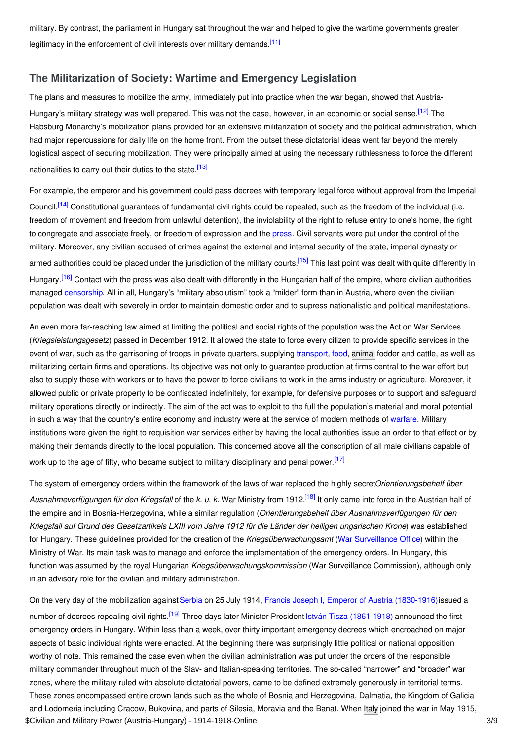<span id="page-2-1"></span>military. By contrast, the parliament in Hungary sat throughout the war and helped to give the wartime governments greater legitimacy in the enforcement of civil interests over military demands.<sup>[\[11\]](#page-6-3)</sup>

## <span id="page-2-0"></span>**The Militarization of Society: Wartime and Emergency Legislation**

<span id="page-2-2"></span>The plans and measures to mobilize the army, immediately put into practice when the war began, showed that Austria-Hungary's military strategy was well prepared. This was not the case, however, in an economic or social sense.<sup>[\[12\]](#page-6-4)</sup> The Habsburg Monarchy's mobilization plans provided for an extensive militarization of society and the political administration, which had major repercussions for daily life on the home front. From the outset these dictatorial ideas went far beyond the merely logistical aspect of securing mobilization. They were principally aimed at using the necessary ruthlessness to force the different nationalities to carry out their duties to the state.<sup>[\[13\]](#page-6-5)</sup>

<span id="page-2-4"></span><span id="page-2-3"></span>For example, the emperor and his government could pass decrees with temporary legal force without approval from the Imperial Council.<sup>[\[14\]](#page-6-6)</sup> Constitutional guarantees of fundamental civil rights could be repealed, such as the freedom of the individual (i.e. freedom of movement and freedom from unlawful detention), the inviolability of the right to refuse entry to one's home, the right to congregate and associate freely, or freedom of ex[press](http://ui:CeDiS1418@encyclopedia.1914-1918-online.net/article/pressjournalism_austria-hungary)ion and the press. Civil servants were put under the control of the military. Moreover, any civilian accused of crimes against the external and internal security of the state, imperial dynasty or armed authorities could be placed under the jurisdiction of the military courts.<sup>[\[15\]](#page-6-7)</sup> This last point was dealt with quite differently in Hungary.<sup>[\[16\]](#page-6-8)</sup> Contact with the press was also dealt with differently in the Hungarian half of the empire, where civilian authorities managed [censorship](http://ui:CeDiS1418@encyclopedia.1914-1918-online.net/article/censorship). All in all, Hungary's "military absolutism" took a "milder" form than in Austria, where even the civilian population was dealt with severely in order to maintain domestic order and to supress nationalistic and political manifestations.

<span id="page-2-6"></span><span id="page-2-5"></span>An even more far-reaching law aimed at limiting the political and social rights of the population was the Act on War Services (*Kriegsleistungsgesetz*) passed in December 1912. It allowed the state to force every citizen to provide specific services in the event of war, such as the garrisoning of troops in private quarters, supplying [transport,](http://ui:CeDiS1418@encyclopedia.1914-1918-online.net/article/transportation_and_logistics) [food](http://ui:CeDiS1418@encyclopedia.1914-1918-online.net/article/food_and_nutrition_austria-hungary), [animal](http://ui:CeDiS1418@encyclopedia.1914-1918-online.net/article/animals) fodder and cattle, as well as militarizing certain firms and operations. Its objective was not only to guarantee production at firms central to the war effort but also to supply these with workers or to have the power to force civilians to work in the arms industry or agriculture. Moreover, it allowed public or private property to be confiscated indefinitely, for example, for defensive purposes or to support and safeguard military operations directly or indirectly. The aim of the act was to exploit to the full the population's material and moral potential in such a way that the country's entire economy and industry were at the service of modern methods of [warfare](http://ui:CeDiS1418@encyclopedia.1914-1918-online.net/article/tactics_army_austria-hungary). Military institutions were given the right to requisition war services either by having the local authorities issue an order to that effect or by making their demands directly to the local population. This concerned above all the conscription of all male civilians capable of

<span id="page-2-7"></span>work up to the age of fifty, who became subject to military disciplinary and penal power.<sup>[\[17\]](#page-6-9)</sup>

<span id="page-2-8"></span>The system of emergency orders within the framework of the laws of war replaced the highly secret*Orientierungsbehelf über Ausnahmeverfügungen für den Kriegsfall* of the *k. u. k.* War Ministry from 1912. [\[18\]](#page-6-10) It only came into force in the Austrian half of the empire and in Bosnia-Herzegovina, while a similar regulation (*Orientierungsbehelf über Ausnahmsverfügungen für den* Kriegsfall auf Grund des Gesetzartikels LXIII vom Jahre 1912 für die Länder der heiligen ungarischen Krone) was established for Hungary. These guidelines provided for the creation of the *Kriegsüberwachungsamt* (War [Surveillance](http://ui:CeDiS1418@encyclopedia.1914-1918-online.net/article/war_surveillance_office_austria-hungary) Office) within the Ministry of War. Its main task was to manage and enforce the implementation of the emergency orders. In Hungary, this function was assumed by the royal Hungarian *Kriegsüberwachungskommission* (War Surveillance Commission), although only in an advisory role for the civilian and military administration.

<span id="page-2-9"></span>On the very day of the mobilization against [Serbia](http://ui:CeDiS1418@encyclopedia.1914-1918-online.net/article/serbia) on 25 July 1914, Francis Joseph I, Emperor of Austria [\(1830-1916\)](http://ui:CeDiS1418@encyclopedia.1914-1918-online.net/index/names/118535013)issued a number of decrees repealing civil rights.<sup>[\[19\]](#page-6-11)</sup> Three days later Minister President István Tisza [\(1861-1918\)](http://ui:CeDiS1418@encyclopedia.1914-1918-online.net/index/names/118998897) announced the first emergency orders in Hungary. Within less than a week, over thirty important emergency decrees which encroached on major aspects of basic individual rights were enacted. At the beginning there was surprisingly little political or national opposition worthy of note. This remained the case even when the civilian administration was put under the orders of the responsible military commander throughout much of the Slav- and Italian-speaking territories. The so-called "narrower" and "broader" war zones, where the military ruled with absolute dictatorial powers, came to be defined extremely generously in territorial terms. These zones encompassed entire crown lands such as the whole of Bosnia and Herzegovina, Dalmatia, the Kingdom of Galicia and Lodomeria including Cracow, Bukovina, and parts of Silesia, Moravia and the Banat. When [Italy](http://ui:CeDiS1418@encyclopedia.1914-1918-online.net/article/italy) joined the war in May 1915, \$Civilian and Military Power (Austria-Hungary) - 1914-1918-Online 3/9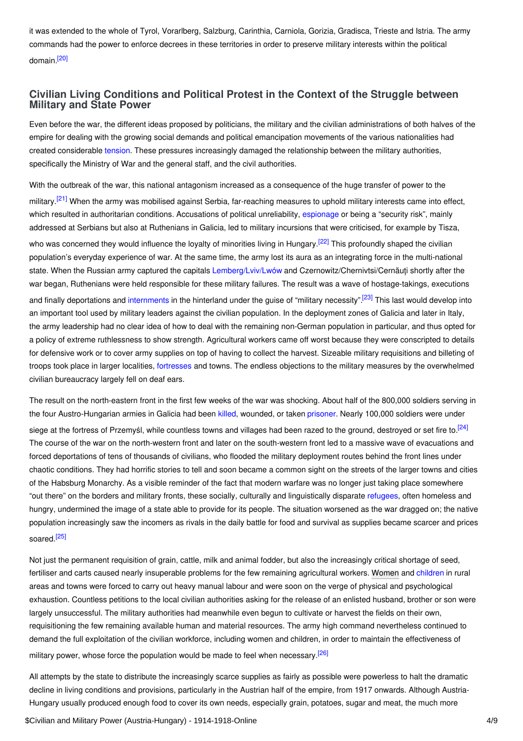<span id="page-3-1"></span>it was extended to the whole of Tyrol, Vorarlberg, Salzburg, Carinthia, Carniola, Gorizia, Gradisca, Trieste and Istria. The army commands had the power to enforce decrees in these territories in order to preserve military interests within the political domain.<sup>[\[20\]](#page-6-12)</sup>

# <span id="page-3-0"></span>**Civilian Living Conditions and Political Protest in the Context of the Struggle between Military and State Power**

Even before the war, the different ideas proposed by politicians, the military and the civilian administrations of both halves of the empire for dealing with the growing social demands and political emancipation movements of the various nationalities had created considerable [tension](http://ui:CeDiS1418@encyclopedia.1914-1918-online.net/article/shifts_and_tensions_in_ethnicnational_groups). These pressures increasingly damaged the relationship between the military authorities, specifically the Ministry of War and the general staff, and the civil authorities.

<span id="page-3-3"></span><span id="page-3-2"></span>With the outbreak of the war, this national antagonism increased as a consequence of the huge transfer of power to the military.<sup>[\[21\]](#page-6-13)</sup> When the army was mobilised against Serbia, far-reaching measures to uphold military interests came into effect, which resulted in authoritarian conditions. Accusations of political unreliability, [espionage](http://ui:CeDiS1418@encyclopedia.1914-1918-online.net/article/espionage) or being a "security risk", mainly addressed at Serbians but also at Ruthenians in Galicia, led to military incursions that were criticised, for example by Tisza, who was concerned they would influence the loyalty of minorities living in Hungary.<sup>[\[22\]](#page-6-14)</sup> This profoundly shaped the civilian population's everyday experience of war. At the same time, the army lost its aura as an integrating force in the multi-national state. When the Russian army captured the capitals [Lemberg/Lviv/Lwów](http://ui:CeDiS1418@encyclopedia.1914-1918-online.net/article/lemberg) and Czernowitz/Chernivtsi/Cernăuți shortly after the war began, Ruthenians were held responsible for these military failures. The result was a wave of hostage-takings, executions and finally deportations and [internments](http://ui:CeDiS1418@encyclopedia.1914-1918-online.net/article/the_internment_of_russophiles_in_austria-hungary) in the hinterland under the guise of "military necessity".<sup>[\[23\]](#page-6-15)</sup> This last would develop into an important tool used by military leaders against the civilian population. In the deployment zones of Galicia and later in Italy, the army leadership had no clear idea of how to deal with the remaining non-German population in particular, and thus opted for a policy of extreme ruthlessness to show strength. Agricultural workers came off worst because they were conscripted to details for defensive work or to cover army supplies on top of having to collect the harvest. Sizeable military requisitions and billeting of troops took place in larger localities, [fortresses](http://ui:CeDiS1418@encyclopedia.1914-1918-online.net/article/forts) and towns. The endless objections to the military measures by the overwhelmed civilian bureaucracy largely fell on deaf ears.

<span id="page-3-4"></span>The result on the north-eastern front in the first few weeks of the war was shocking. About half of the 800,000 soldiers serving in the four Austro-Hungarian armies in Galicia had been [killed](http://ui:CeDiS1418@encyclopedia.1914-1918-online.net/article/war_losses_austria-hungary), wounded, or taken [prisoner.](http://ui:CeDiS1418@encyclopedia.1914-1918-online.net/article/prisoners_of_war_austria-hungary) Nearly 100,000 soldiers were under

<span id="page-3-5"></span>siege at the fortress of Przemyśl, while countless towns and villages had been razed to the ground, destroyed or set fire to.<sup>[\[24\]](#page-6-16)</sup> The course of the war on the north-western front and later on the south-western front led to a massive wave of evacuations and forced deportations of tens of thousands of civilians, who flooded the military deployment routes behind the front lines under chaotic conditions. They had horrific stories to tell and soon became a common sight on the streets of the larger towns and cities of the Habsburg Monarchy. As a visible reminder of the fact that modern warfare was no longer just taking place somewhere "out there" on the borders and military fronts, these socially, culturally and linguistically disparate [refugees](http://ui:CeDiS1418@encyclopedia.1914-1918-online.net/article/refugees_austria-hungary), often homeless and hungry, undermined the image of a state able to provide for its people. The situation worsened as the war dragged on; the native population increasingly saw the incomers as rivals in the daily battle for food and survival as supplies became scarcer and prices soared.<sup>[\[25\]](#page-6-17)</sup>

<span id="page-3-6"></span>Not just the permanent requisition of grain, cattle, milk and animal fodder, but also the increasingly critical shortage of seed, fertiliser and carts caused nearly insuperable problems for the few remaining agricultural workers. [Women](http://ui:CeDiS1418@encyclopedia.1914-1918-online.net/article/womens_mobilization_for_war_austria-hungary) and [children](http://ui:CeDiS1418@encyclopedia.1914-1918-online.net/article/children_and_youth) in rural areas and towns were forced to carry out heavy manual labour and were soon on the verge of physical and psychological exhaustion. Countless petitions to the local civilian authorities asking for the release of an enlisted husband, brother or son were largely unsuccessful. The military authorities had meanwhile even begun to cultivate or harvest the fields on their own, requisitioning the few remaining available human and material resources. The army high command nevertheless continued to demand the full exploitation of the civilian workforce, including women and children, in order to maintain the effectiveness of military power, whose force the population would be made to feel when necessary.<sup>[\[26\]](#page-6-18)</sup>

<span id="page-3-7"></span>All attempts by the state to distribute the increasingly scarce supplies as fairly as possible were powerless to halt the dramatic decline in living conditions and provisions, particularly in the Austrian half of the empire, from 1917 onwards. Although Austria-Hungary usually produced enough food to cover its own needs, especially grain, potatoes, sugar and meat, the much more

\$Civilian and Military Power (Austria-Hungary) - 1914-1918-Online 4/9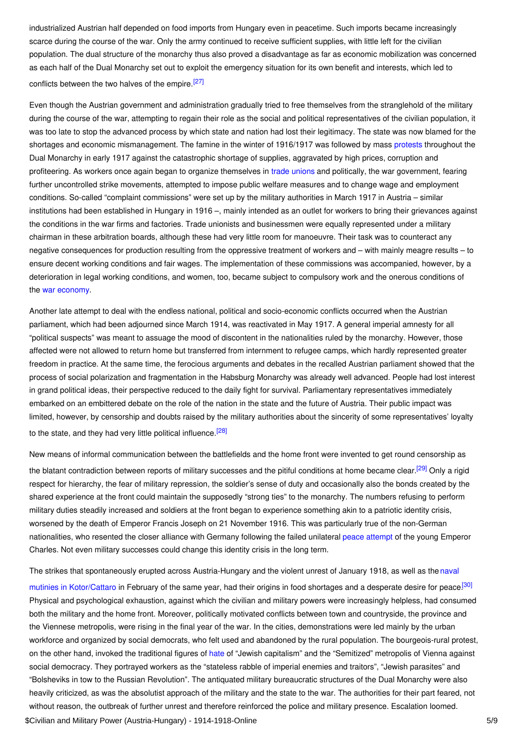industrialized Austrian half depended on food imports from Hungary even in peacetime. Such imports became increasingly scarce during the course of the war. Only the army continued to receive sufficient supplies, with little left for the civilian population. The dual structure of the monarchy thus also proved a disadvantage as far as economic mobilization was concerned as each half of the Dual Monarchy set out to exploit the emergency situation for its own benefit and interests, which led to conflicts between the two halves of the empire.<sup>[\[27\]](#page-6-19)</sup>

<span id="page-4-0"></span>Even though the Austrian government and administration gradually tried to free themselves from the stranglehold of the military during the course of the war, attempting to regain their role as the social and political representatives of the civilian population, it was too late to stop the advanced process by which state and nation had lost their legitimacy. The state was now blamed for the shortages and economic mismanagement. The famine in the winter of 1916/1917 was followed by mass [protests](http://ui:CeDiS1418@encyclopedia.1914-1918-online.net/article/social_conflict_and_control_protest_and_repression_austria-hungary) throughout the Dual Monarchy in early 1917 against the catastrophic shortage of supplies, aggravated by high prices, corruption and profiteering. As workers once again began to organize themselves in trade [unions](http://ui:CeDiS1418@encyclopedia.1914-1918-online.net/article/labour_labour_movements_trade_unions_and_strikes_austria-hungary) and politically, the war government, fearing further uncontrolled strike movements, attempted to impose public welfare measures and to change wage and employment conditions. So-called "complaint commissions" were set up by the military authorities in March 1917 in Austria – similar institutions had been established in Hungary in 1916 –, mainly intended as an outlet for workers to bring their grievances against the conditions in the war firms and factories. Trade unionists and businessmen were equally represented under a military chairman in these arbitration boards, although these had very little room for manoeuvre. Their task was to counteract any negative consequences for production resulting from the oppressive treatment of workers and – with mainly meagre results – to ensure decent working conditions and fair wages. The implementation of these commissions was accompanied, however, by a deterioration in legal working conditions, and women, too, became subject to compulsory work and the onerous conditions of the war [economy](http://ui:CeDiS1418@encyclopedia.1914-1918-online.net/article/organization_of_war_economies_austria-hungary).

Another late attempt to deal with the endless national, political and socio-economic conflicts occurred when the Austrian parliament, which had been adjourned since March 1914, was reactivated in May 1917. A general imperial amnesty for all "political suspects" was meant to assuage the mood of discontent in the nationalities ruled by the monarchy. However, those affected were not allowed to return home but transferred from internment to refugee camps, which hardly represented greater freedom in practice. At the same time, the ferocious arguments and debates in the recalled Austrian parliament showed that the process of social polarization and fragmentation in the Habsburg Monarchy was already well advanced. People had lost interest in grand political ideas, their perspective reduced to the daily fight for survival. Parliamentary representatives immediately embarked on an embittered debate on the role of the nation in the state and the future of Austria. Their public impact was limited, however, by censorship and doubts raised by the military authorities about the sincerity of some representatives' loyalty to the state, and they had very little political influence.<sup>[\[28\]](#page-6-20)</sup>

<span id="page-4-2"></span><span id="page-4-1"></span>New means of informal communication between the battlefields and the home front were invented to get round censorship as the blatant contradiction between reports of military successes and the pitiful conditions at home became clear.<sup>[\[29\]](#page-6-21)</sup> Only a rigid respect for hierarchy, the fear of military repression, the soldier's sense of duty and occasionally also the bonds created by the shared experience at the front could maintain the supposedly "strong ties" to the monarchy. The numbers refusing to perform military duties steadily increased and soldiers at the front began to experience something akin to a patriotic identity crisis, worsened by the death of Emperor Francis Joseph on 21 November 1916. This was particularly true of the non-German nationalities, who resented the closer alliance with Germany following the failed unilateral peace [attempt](http://ui:CeDiS1418@encyclopedia.1914-1918-online.net/article/peace_initiatives) of the young Emperor Charles. Not even military successes could change this identity crisis in the long term.

<span id="page-4-3"></span>The strikes that spontaneously erupted across [Austria-Hungary](http://ui:CeDiS1418@encyclopedia.1914-1918-online.net/article/cattaro_mutiny_of) and the violent unrest of January 1918, as well as the naval mutinies in Kotor/Cattaro in February of the same year, had their origins in food shortages and a desperate desire for peace.<sup>[\[30\]](#page-6-22)</sup> Physical and psychological exhaustion, against which the civilian and military powers were increasingly helpless, had consumed both the military and the home front. Moreover, politically motivated conflicts between town and countryside, the province and the Viennese metropolis, were rising in the final year of the war. In the cities, demonstrations were led mainly by the urban workforce and organized by social democrats, who felt used and abandoned by the rural population. The bourgeois-rural protest, on the other hand, invoked the traditional figures of [hate](http://ui:CeDiS1418@encyclopedia.1914-1918-online.net/article/antisemitism) of "Jewish capitalism" and the "Semitized" metropolis of Vienna against social democracy. They portrayed workers as the "stateless rabble of imperial enemies and traitors", "Jewish parasites" and "Bolsheviks in tow to the Russian Revolution". The antiquated military bureaucratic structures of the Dual Monarchy were also heavily criticized, as was the absolutist approach of the military and the state to the war. The authorities for their part feared, not without reason, the outbreak of further unrest and therefore reinforced the police and military presence. Escalation loomed. \$Civilian and Military Power (Austria-Hungary) - 1914-1918-Online 5/9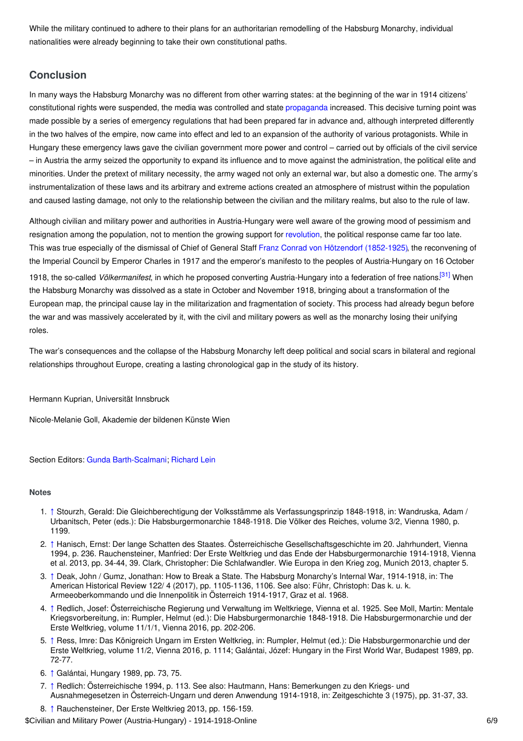While the military continued to adhere to their plans for an authoritarian remodelling of the Habsburg Monarchy, individual nationalities were already beginning to take their own constitutional paths.

# <span id="page-5-0"></span>**Conclusion**

In many ways the Habsburg Monarchy was no different from other warring states: at the beginning of the war in 1914 citizens' constitutional rights were suspended, the media was controlled and state [propaganda](http://ui:CeDiS1418@encyclopedia.1914-1918-online.net/article/propaganda_at_home_austria-hungary) increased. This decisive turning point was made possible by a series of emergency regulations that had been prepared far in advance and, although interpreted differently in the two halves of the empire, now came into effect and led to an expansion of the authority of various protagonists. While in Hungary these emergency laws gave the civilian government more power and control – carried out by officials of the civil service – in Austria the army seized the opportunity to expand its influence and to move against the administration, the political elite and minorities. Under the pretext of military necessity, the army waged not only an external war, but also a domestic one. The army's instrumentalization of these laws and its arbitrary and extreme actions created an atmosphere of mistrust within the population and caused lasting damage, not only to the relationship between the civilian and the military realms, but also to the rule of law.

Although civilian and military power and authorities in Austria-Hungary were well aware of the growing mood of pessimism and resignation among the population, not to mention the growing support for [revolution,](http://ui:CeDiS1418@encyclopedia.1914-1918-online.net/article/revolutions_austria-hungary) the political response came far too late. This was true especially of the dismissal of Chief of General Staff Franz Conrad von Hötzendorf [\(1852-1925\)](http://ui:CeDiS1418@encyclopedia.1914-1918-online.net/index/names/118676768), the reconvening of the Imperial Council by Emperor Charles in 1917 and the emperor's manifesto to the peoples of Austria-Hungary on 16 October

<span id="page-5-10"></span>1918, the so-called Völkermanifest, in which he proposed converting Austria-Hungary into a federation of free nations.<sup>[\[31\]](#page-6-23)</sup> When the Habsburg Monarchy was dissolved as a state in October and November 1918, bringing about a transformation of the European map, the principal cause lay in the militarization and fragmentation of society. This process had already begun before the war and was massively accelerated by it, with the civil and military powers as well as the monarchy losing their unifying roles.

The war's consequences and the collapse of the Habsburg Monarchy left deep political and social scars in bilateral and regional relationships throughout Europe, creating a lasting chronological gap in the study of its history.

Hermann Kuprian, Universität Innsbruck

Nicole-Melanie Goll, Akademie der bildenen Künste Wien

Section Editors: Gunda [Barth-Scalmani](https://encyclopedia.1914-1918-online.net/contributors/Gunda_Barth-Scalmani); [Richard](https://encyclopedia.1914-1918-online.net/contributors/Richard_Lein) Lein

#### <span id="page-5-1"></span>**Notes**

- <span id="page-5-2"></span>1. [↑](#page-0-1) Stourzh, Gerald: Die Gleichberechtigung der Volksstämme als Verfassungsprinzip 1848-1918, in: Wandruska, Adam / Urbanitsch, Peter (eds.): Die Habsburgermonarchie 1848-1918. Die Völker des Reiches, volume 3/2, Vienna 1980, p. 1199.
- <span id="page-5-3"></span>2. [↑](#page-1-1) Hanisch, Ernst: Der lange Schatten des Staates. Österreichische Gesellschaftsgeschichte im 20. Jahrhundert, Vienna 1994, p. 236. Rauchensteiner, Manfried: Der Erste Weltkrieg und das Ende der Habsburgermonarchie 1914-1918, Vienna et al. 2013, pp. 34-44, 39. Clark, Christopher: Die Schlafwandler. Wie Europa in den Krieg zog, Munich 2013, chapter 5.
- <span id="page-5-4"></span>3. [↑](#page-1-2) Deak, John / Gumz, Jonathan: How to Break a State. The Habsburg Monarchy's Internal War, 1914-1918, in: The American Historical Review 122/ 4 (2017), pp. 1105-1136, 1106. See also: Führ, Christoph: Das k. u. k. Armeeoberkommando und die Innenpolitik in Österreich 1914-1917, Graz et al. 1968.
- <span id="page-5-5"></span>4. [↑](#page-1-3) Redlich, Josef: Österreichische Regierung und Verwaltung im Weltkriege, Vienna et al. 1925. See Moll, Martin: Mentale Kriegsvorbereitung, in: Rumpler, Helmut (ed.): Die Habsburgermonarchie 1848-1918. Die Habsburgermonarchie und der Erste Weltkrieg, volume 11/1/1, Vienna 2016, pp. 202-206.
- <span id="page-5-6"></span>5. [↑](#page-1-4) Ress, Imre: Das Königreich Ungarn im Ersten Weltkrieg, in: Rumpler, Helmut (ed.): Die Habsburgermonarchie und der Erste Weltkrieg, volume 11/2, Vienna 2016, p. 1114; Galántai, Józef: Hungary in the First World War, Budapest 1989, pp. 72-77.
- <span id="page-5-7"></span>6. [↑](#page-1-5) Galántai, Hungary 1989, pp. 73, 75.
- <span id="page-5-9"></span><span id="page-5-8"></span>7. [↑](#page-1-6) Redlich: Österreichische 1994, p. 113. See also: Hautmann, Hans: Bemerkungen zu den Kriegs- und Ausnahmegesetzen in Österreich-Ungarn und deren Anwendung 1914-1918, in: Zeitgeschichte 3 (1975), pp. 31-37, 33.
- 8. [↑](#page-1-7) Rauchensteiner, Der Erste Weltkrieg 2013, pp. 156-159. \$Civilian and Military Power (Austria-Hungary) - 1914-1918-Online 6/9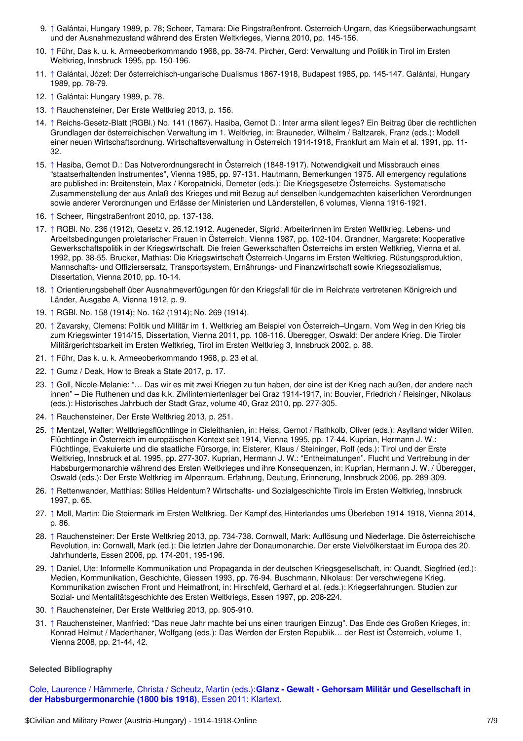- <span id="page-6-1"></span>9. [↑](#page-1-8) Galántai, Hungary 1989, p. 78; Scheer, Tamara: Die Ringstraßenfront. Österreich-Ungarn, das Kriegsüberwachungsamt und der Ausnahmezustand während des Ersten Weltkrieges, Vienna 2010, pp. 145-156.
- <span id="page-6-2"></span>10. [↑](#page-1-9) Führ, Das k. u. k. Armeeoberkommando 1968, pp. 38-74. Pircher, Gerd: Verwaltung und Politik in Tirol im Ersten Weltkrieg, Innsbruck 1995, pp. 150-196.
- <span id="page-6-3"></span>11. [↑](#page-2-1) Galántai, Józef: Der österreichisch-ungarische Dualismus 1867-1918, Budapest 1985, pp. 145-147. Galántai, Hungary 1989, pp. 78-79.
- <span id="page-6-4"></span>12. [↑](#page-2-2) Galántai: Hungary 1989, p. 78.
- <span id="page-6-5"></span>13. [↑](#page-2-3) Rauchensteiner, Der Erste Weltkrieg 2013, p. 156.
- <span id="page-6-6"></span>14. [↑](#page-2-4) Reichs-Gesetz-Blatt (RGBl.) No. 141 (1867). Hasiba, Gernot D.: Inter arma silent leges? Ein Beitrag über die rechtlichen Grundlagen der österreichischen Verwaltung im 1. Weltkrieg, in: Brauneder, Wilhelm / Baltzarek, Franz (eds.): Modell einer neuen Wirtschaftsordnung. Wirtschaftsverwaltung in Österreich 1914-1918, Frankfurt am Main et al. 1991, pp. 11- 32.
- <span id="page-6-7"></span>15. [↑](#page-2-5) Hasiba, Gernot D.: Das Notverordnungsrecht in Österreich (1848-1917). Notwendigkeit und Missbrauch eines "staatserhaltenden Instrumentes", Vienna 1985, pp. 97-131. Hautmann, Bemerkungen 1975. All emergency regulations are published in: Breitenstein, Max / Koropatnicki, Demeter (eds.): Die Kriegsgesetze Österreichs. Systematische Zusammenstellung der aus Anlaß des Krieges und mit Bezug auf denselben kundgemachten kaiserlichen Verordnungen sowie anderer Verordnungen und Erlässe der Ministerien und Länderstellen, 6 volumes, Vienna 1916-1921.
- <span id="page-6-8"></span>16. [↑](#page-2-6) Scheer, Ringstraßenfront 2010, pp. 137-138.
- <span id="page-6-9"></span>17. [↑](#page-2-7) RGBl. No. 236 (1912), Gesetz v. 26.12.1912. Augeneder, Sigrid: Arbeiterinnen im Ersten Weltkrieg. Lebens- und Arbeitsbedingungen proletarischer Frauen in Österreich, Vienna 1987, pp. 102-104. Grandner, Margarete: Kooperative Gewerkschaftspolitik in der Kriegswirtschaft. Die freien Gewerkschaften Österreichs im ersten Weltkrieg, Vienna et al. 1992, pp. 38-55. Brucker, Mathias: Die Kriegswirtschaft Österreich-Ungarns im Ersten Weltkrieg. Rüstungsproduktion, Mannschafts- und Offiziersersatz, Transportsystem, Ernährungs- und Finanzwirtschaft sowie Kriegssozialismus, Dissertation, Vienna 2010, pp. 10-14.
- <span id="page-6-10"></span>18. [↑](#page-2-8) Orientierungsbehelf über Ausnahmeverfügungen für den Kriegsfall für die im Reichrate vertretenen Königreich und Länder, Ausgabe A, Vienna 1912, p. 9.
- <span id="page-6-11"></span>19. [↑](#page-2-9) RGBl. No. 158 (1914); No. 162 (1914); No. 269 (1914).
- <span id="page-6-12"></span>20. [↑](#page-3-1) Zavarsky, Clemens: Politik und Militär im 1. Weltkrieg am Beispiel von Österreich–Ungarn. Vom Weg in den Krieg bis zum Kriegswinter 1914/15, Dissertation, Vienna 2011, pp. 108-116. Überegger, Oswald: Der andere Krieg. Die Tiroler Militärgerichtsbarkeit im Ersten Weltkrieg, Tirol im Ersten Weltkrieg 3, Innsbruck 2002, p. 88.
- <span id="page-6-13"></span>21. [↑](#page-3-2) Führ, Das k. u. k. Armeeoberkommando 1968, p. 23 et al.
- <span id="page-6-14"></span>22. [↑](#page-3-3) Gumz / Deak, How to Break a State 2017, p. 17.
- <span id="page-6-15"></span>23. [↑](#page-3-4) Goll, Nicole-Melanie: "… Das wir es mit zwei Kriegen zu tun haben, der eine ist der Krieg nach außen, der andere nach innen" – Die Ruthenen und das k.k. Zivilinterniertenlager bei Graz 1914-1917, in: Bouvier, Friedrich / Reisinger, Nikolaus (eds.): Historisches Jahrbuch der Stadt Graz, volume 40, Graz 2010, pp. 277-305.
- <span id="page-6-16"></span>24. [↑](#page-3-5) Rauchensteiner, Der Erste Weltkrieg 2013, p. 251.
- <span id="page-6-17"></span>25. [↑](#page-3-6) Mentzel, Walter: Weltkriegsflüchtlinge in Cisleithanien, in: Heiss, Gernot / Rathkolb, Oliver (eds.): Asylland wider Willen. Flüchtlinge in Österreich im europäischen Kontext seit 1914, Vienna 1995, pp. 17-44. Kuprian, Hermann J. W.: Flüchtlinge, Evakuierte und die staatliche Fürsorge, in: Eisterer, Klaus / Steininger, Rolf (eds.): Tirol und der Erste Weltkrieg, Innsbruck et al. 1995, pp. 277-307. Kuprian, Hermann J. W.: "Entheimatungen". Flucht und Vertreibung in der Habsburgermonarchie während des Ersten Weltkrieges und ihre Konsequenzen, in: Kuprian, Hermann J. W. / Überegger, Oswald (eds.): Der Erste Weltkrieg im Alpenraum. Erfahrung, Deutung, Erinnerung, Innsbruck 2006, pp. 289-309.
- <span id="page-6-18"></span>26. [↑](#page-3-7) Rettenwander, Matthias: Stilles Heldentum? Wirtschafts- und Sozialgeschichte Tirols im Ersten Weltkrieg, Innsbruck 1997, p. 65.
- <span id="page-6-19"></span>27. [↑](#page-4-0) Moll, Martin: Die Steiermark im Ersten Weltkrieg. Der Kampf des Hinterlandes ums Überleben 1914-1918, Vienna 2014, p. 86.
- <span id="page-6-20"></span>28. [↑](#page-4-1) Rauchensteiner: Der Erste Weltkrieg 2013, pp. 734-738. Cornwall, Mark: Auflösung und Niederlage. Die österreichische Revolution, in: Cornwall, Mark (ed.): Die letzten Jahre der Donaumonarchie. Der erste Vielvölkerstaat im Europa des 20. Jahrhunderts, Essen 2006, pp. 174-201, 195-196.
- <span id="page-6-21"></span>29. [↑](#page-4-2) Daniel, Ute: Informelle Kommunikation und Propaganda in der deutschen Kriegsgesellschaft, in: Quandt, Siegfried (ed.): Medien, Kommunikation, Geschichte, Giessen 1993, pp. 76-94. Buschmann, Nikolaus: Der verschwiegene Krieg. Kommunikation zwischen Front und Heimatfront, in: Hirschfeld, Gerhard et al. (eds.): Kriegserfahrungen. Studien zur Sozial- und Mentalitätsgeschichte des Ersten Weltkriegs, Essen 1997, pp. 208-224.
- <span id="page-6-22"></span>30. [↑](#page-4-3) Rauchensteiner, Der Erste Weltkrieg 2013, pp. 905-910.
- <span id="page-6-23"></span>31. [↑](#page-5-10) Rauchensteiner, Manfried: "Das neue Jahr machte bei uns einen traurigen Einzug". Das Ende des Großen Krieges, in: Konrad Helmut / Maderthaner, Wolfgang (eds.): Das Werden der Ersten Republik… der Rest ist Österreich, volume 1, Vienna 2008, pp. 21-44, 42.

#### <span id="page-6-0"></span>**Selected Bibliography**

Cole, Laurence / Hämmerle, Christa / Scheutz, Martin (eds.):**Glanz - Gewalt - Gehorsam Militär und Gesellschaft in der [Habsburgermonarchie](https://encyclopedia.1914-1918-online.net/bibliography/AHEM5H8V) (1800 bis 1918)**, Essen 2011: Klartext.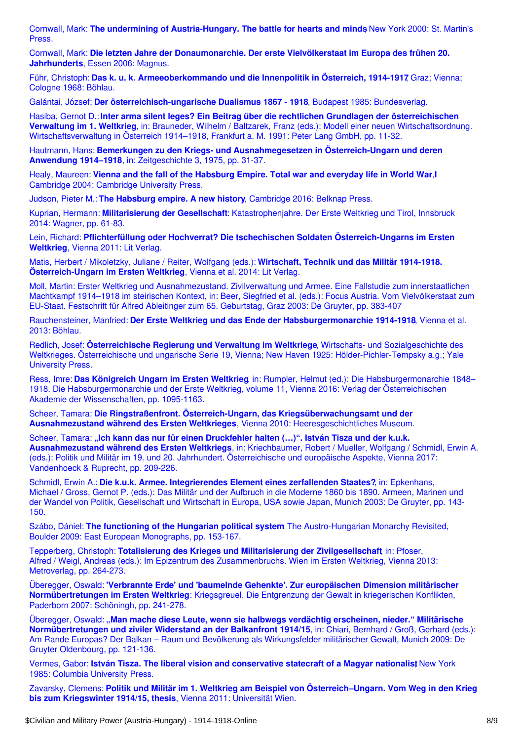Cornwall, Mark: **The undermining of [Austria-Hungary.](https://encyclopedia.1914-1918-online.net/bibliography/IRIZNIF4) The battle for hearts and minds**, New York 2000: St. Martin's Press.

Cornwall, Mark: **Die letzten Jahre der [Donaumonarchie.](https://encyclopedia.1914-1918-online.net/bibliography/SMV26WMB) Der erste Vielvölkerstaat im Europa des frühen 20. Jahrhunderts**, Essen 2006: Magnus.

Führ, Christoph: **Das k. u. k. [Armeeoberkommando](https://encyclopedia.1914-1918-online.net/bibliography/5H54IVRS) und die Innenpolitik in Österreich, 1914-1917**, Graz; Vienna; Cologne 1968: Böhlau.

Galántai, József: **Der [österreichisch-ungarische](https://encyclopedia.1914-1918-online.net/bibliography/2YKFF2E5) Dualismus 1867 - 1918**, Budapest 1985: Bundesverlag.

Hasiba, Gernot D.: **Inter arma silent leges? Ein Beitrag über die rechtlichen Grundlagen der österreichischen Verwaltung im 1. Weltkrieg**, in: Brauneder, Wilhelm / Baltzarek, Franz (eds.): Modell einer neuen Wirtschaftsordnung. [Wirtschaftsverwaltung](https://encyclopedia.1914-1918-online.net/bibliography/K4NIGS3T) in Österreich 1914–1918, Frankfurt a. M. 1991: Peter Lang GmbH, pp. 11-32.

Hautmann, Hans: **Bemerkungen zu den Kriegs- und [Ausnahmegesetzen](https://encyclopedia.1914-1918-online.net/bibliography/RYA66HP3) in Österreich-Ungarn und deren Anwendung 1914–1918**, in: Zeitgeschichte 3, 1975, pp. 31-37.

Healy, Maureen: **Vienna and the fall of the [Habsburg](https://encyclopedia.1914-1918-online.net/bibliography/4MQNGZ8D) Empire. Total war and everyday life in World War**,**I** Cambridge 2004: Cambridge University Press.

Judson, Pieter M.: **The Habsburg empire. A new history**, [Cambridge](https://encyclopedia.1914-1918-online.net/bibliography/4HABCWXM) 2016: Belknap Press.

Kuprian, Hermann: **Militarisierung der Gesellschaft**: [Katastrophenjahre.](https://encyclopedia.1914-1918-online.net/bibliography/JM7866YW) Der Erste Weltkrieg und Tirol, Innsbruck 2014: Wagner, pp. 61-83.

Lein, Richard: **Pflichterfüllung oder Hochverrat? Die tschechischen Soldaten [Österreich-Ungarns](https://encyclopedia.1914-1918-online.net/bibliography/U7UW8VQP) im Ersten Weltkrieg**, Vienna 2011: Lit Verlag.

Matis, Herbert / Mikoletzky, Juliane / Reiter, Wolfgang (eds.): **Wirtschaft, Technik und das Militär 1914-1918. [Österreich-Ungarn](https://encyclopedia.1914-1918-online.net/bibliography/QRWG87HS) im Ersten Weltkrieg**, Vienna et al. 2014: Lit Verlag.

Moll, Martin: Erster Weltkrieg und [Ausnahmezustand.](https://encyclopedia.1914-1918-online.net/bibliography/QKQH3X2U) Zivilverwaltung und Armee. Eine Fallstudie zum innerstaatlichen Machtkampf 1914–1918 im steirischen Kontext, in: Beer, Siegfried et al. (eds.): Focus Austria. Vom Vielvölkerstaat zum EU-Staat. Festschrift für Alfred Ableitinger zum 65. Geburtstag, Graz 2003: De Gruyter, pp. 383-407

Rauchensteiner, Manfried: **Der Erste Weltkrieg und das Ende der [Habsburgermonarchie](https://encyclopedia.1914-1918-online.net/bibliography/6AZGA5G5) 1914-1918**, Vienna et al. 2013: Böhlau.

Redlich, Josef: **Österreichische Regierung und Verwaltung im Weltkriege**, Wirtschafts- und Sozialgeschichte des Weltkrieges. Österreichische und ungarische Serie 19, Vienna; New Haven 1925: [Hölder-Pichler-Tempsky](https://encyclopedia.1914-1918-online.net/bibliography/MAB4J9WB) a.g.; Yale University Press.

Ress, Imre: **Das Königreich Ungarn im Ersten Weltkrieg**, in: Rumpler, Helmut (ed.): Die [Habsburgermonarchie](https://encyclopedia.1914-1918-online.net/bibliography/NE543A5B) 1848– 1918. Die Habsburgermonarchie und der Erste Weltkrieg, volume 11, Vienna 2016: Verlag der Österreichischen Akademie der Wissenschaften, pp. 1095-1163.

Scheer, Tamara: **Die Ringstraßenfront. Österreich-Ungarn, das [Kriegsüberwachungsamt](https://encyclopedia.1914-1918-online.net/bibliography/6NI97JA3) und der Ausnahmezustand während des Ersten Weltkrieges**, Vienna 2010: Heeresgeschichtliches Museum.

Scheer, Tamara: **"Ich kann das nur für einen Druckfehler halten (…)". István Tisza und der k.u.k. [Ausnahmezustand](https://encyclopedia.1914-1918-online.net/bibliography/T2LXDPHD) während des Ersten Weltkriegs**, in: Kriechbaumer, Robert / Mueller, Wolfgang / Schmidl, Erwin A. (eds.): Politik und Militär im 19. und 20. Jahrhundert. Österreichische und europäische Aspekte, Vienna 2017: Vandenhoeck & Ruprecht, pp. 209-226.

Schmidl, Erwin A.: **Die k.u.k. Armee. [Integrierendes](https://encyclopedia.1914-1918-online.net/bibliography/Y44YRLJC) Element eines zerfallenden Staates?**, in: Epkenhans, Michael / Gross, Gernot P. (eds.): Das Militär und der Aufbruch in die Moderne 1860 bis 1890. Armeen, Marinen und der Wandel von Politik, Gesellschaft und Wirtschaft in Europa, USA sowie Japan, Munich 2003: De Gruyter, pp. 143- 150.

Szábo, Dániel: **The functioning of the Hungarian political system**: The [Austro-Hungarian](https://encyclopedia.1914-1918-online.net/bibliography/INAUUT94) Monarchy Revisited, Boulder 2009: East European Monographs, pp. 153-167.

Tepperberg, Christoph: **Totalisierung des Krieges und Militarisierung der Zivilgesellschaft**, in: Pfoser, Alfred / Weigl, Andreas (eds.): Im Epizentrum des [Zusammenbruchs.](https://encyclopedia.1914-1918-online.net/bibliography/DVQQBIN3) Wien im Ersten Weltkrieg, Vienna 2013: Metroverlag, pp. 264-273.

Überegger, Oswald: **'Verbrannte Erde' und 'baumelnde Gehenkte'. Zur europäischen Dimension militärischer [Normübertretungen](https://encyclopedia.1914-1918-online.net/bibliography/KU2X274S) im Ersten Weltkrieg**: Kriegsgreuel. Die Entgrenzung der Gewalt in kriegerischen Konflikten, Paderborn 2007: Schöningh, pp. 241-278.

Überegger, Oswald: **"Man mache diese Leute, wenn sie halbwegs verdächtig erscheinen, nieder." Militärische [Normübertretungen](https://encyclopedia.1914-1918-online.net/bibliography/QXLC3M3Z) und ziviler Widerstand an der Balkanfront 1914/15**, in: Chiari, Bernhard / Groß, Gerhard (eds.): Am Rande Europas? Der Balkan – Raum und Bevölkerung als Wirkungsfelder militärischer Gewalt, Munich 2009: De Gruyter Oldenbourg, pp. 121-136.

Vermes, Gabor: **István Tisza. The liberal vision and [conservative](https://encyclopedia.1914-1918-online.net/bibliography/CAE7JSDC) statecraft of a Magyar nationalis**,**t** New York 1985: Columbia University Press.

Zavarsky, Clemens: **Politik und Militär im 1. Weltkrieg am Beispiel von [Österreich–Ungarn.](https://encyclopedia.1914-1918-online.net/bibliography/EFMFK9KW) Vom Weg in den Krieg bis zum Kriegswinter 1914/15, thesis**, Vienna 2011: Universität Wien.